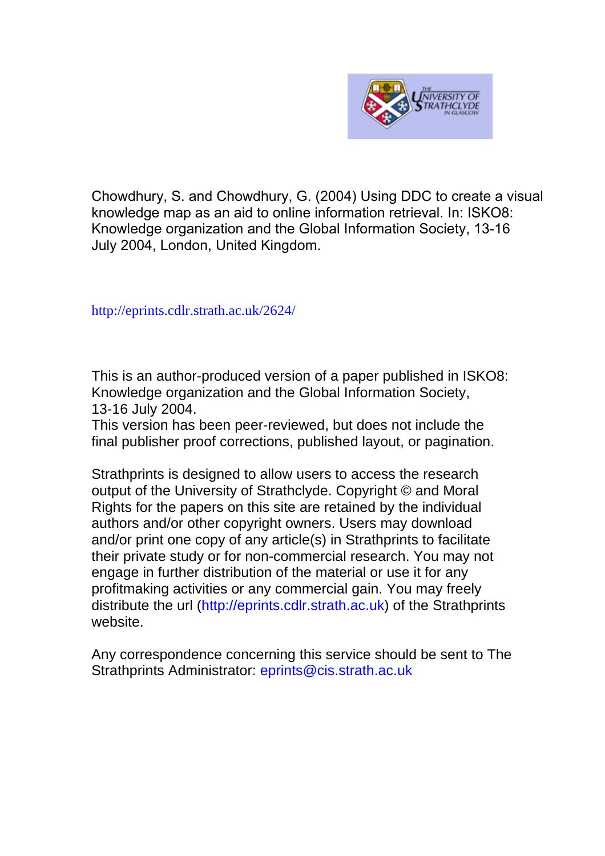

Chowdhury, S. and Chowdhury, G. (2004) Using DDC to create a visual knowledge map as an aid to online information retrieval. In: ISKO8: Knowledge organization and the Global Information Society, 13-16 July 2004, London, United Kingdom.

[http://eprints.cdlr.strath.ac.uk/2](http://eprints.cdlr.strath.ac.uk/2815/)624/

This is an author-produced version of a paper published in ISKO8: Knowledge organization and the Global Information Society, 13-16 July 2004.

This version has been peer-reviewed, but does not include the final publisher proof corrections, published layout, or pagination.

Strathprints is designed to allow users to access the research output of the University of Strathclyde. Copyright © and Moral Rights for the papers on this site are retained by the individual authors and/or other copyright owners. Users may download and/or print one copy of any article(s) in Strathprints to facilitate their private study or for non-commercial research. You may not engage in further distribution of the material or use it for any profitmaking activities or any commercial gain. You may freely distribute the url (http://eprints.cdlr.strath.ac.uk) of the Strathprints website.

Any correspondence concerning this service should be sent to The Strathprints Administrator: eprints@cis.strath.ac.uk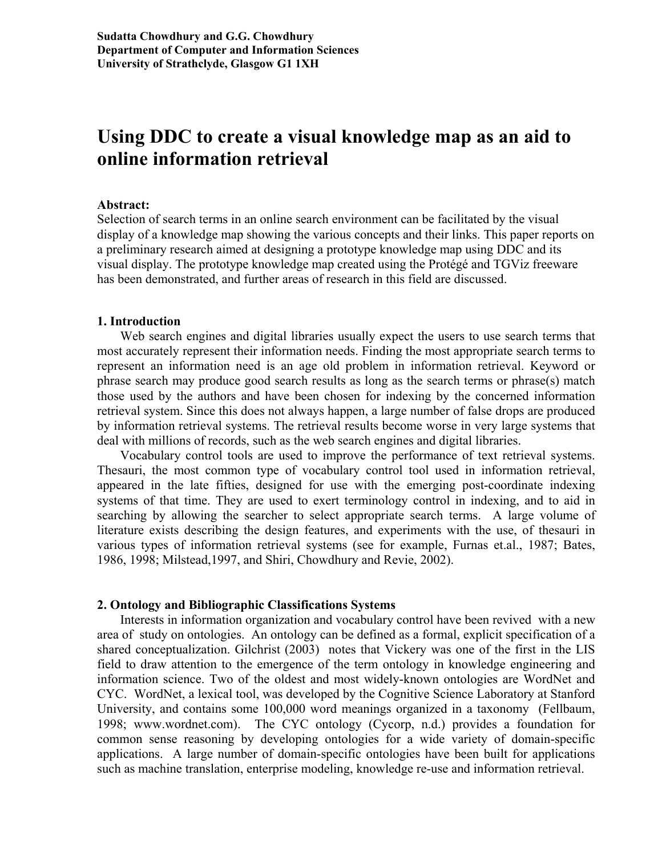# **Using DDC to create a visual knowledge map as an aid to online information retrieval**

#### **Abstract:**

Selection of search terms in an online search environment can be facilitated by the visual display of a knowledge map showing the various concepts and their links. This paper reports on a preliminary research aimed at designing a prototype knowledge map using DDC and its visual display. The prototype knowledge map created using the Protégé and TGViz freeware has been demonstrated, and further areas of research in this field are discussed.

#### **1. Introduction**

Web search engines and digital libraries usually expect the users to use search terms that most accurately represent their information needs. Finding the most appropriate search terms to represent an information need is an age old problem in information retrieval. Keyword or phrase search may produce good search results as long as the search terms or phrase(s) match those used by the authors and have been chosen for indexing by the concerned information retrieval system. Since this does not always happen, a large number of false drops are produced by information retrieval systems. The retrieval results become worse in very large systems that deal with millions of records, such as the web search engines and digital libraries.

Vocabulary control tools are used to improve the performance of text retrieval systems. Thesauri, the most common type of vocabulary control tool used in information retrieval, appeared in the late fifties, designed for use with the emerging post-coordinate indexing systems of that time. They are used to exert terminology control in indexing, and to aid in searching by allowing the searcher to select appropriate search terms. A large volume of literature exists describing the design features, and experiments with the use, of thesauri in various types of information retrieval systems (see for example, Furnas et.al., 1987; Bates, 1986, 1998; Milstead,1997, and Shiri, Chowdhury and Revie, 2002).

#### **2. Ontology and Bibliographic Classifications Systems**

Interests in information organization and vocabulary control have been revived with a new area of study on ontologies. An ontology can be defined as a formal, explicit specification of a shared conceptualization. Gilchrist (2003) notes that Vickery was one of the first in the LIS field to draw attention to the emergence of the term ontology in knowledge engineering and information science. Two of the oldest and most widely-known ontologies are WordNet and CYC. WordNet, a lexical tool, was developed by the Cognitive Science Laboratory at Stanford University, and contains some 100,000 word meanings organized in a taxonomy (Fellbaum, 1998; www.wordnet.com). The CYC ontology (Cycorp, n.d.) provides a foundation for common sense reasoning by developing ontologies for a wide variety of domain-specific applications. A large number of domain-specific ontologies have been built for applications such as machine translation, enterprise modeling, knowledge re-use and information retrieval.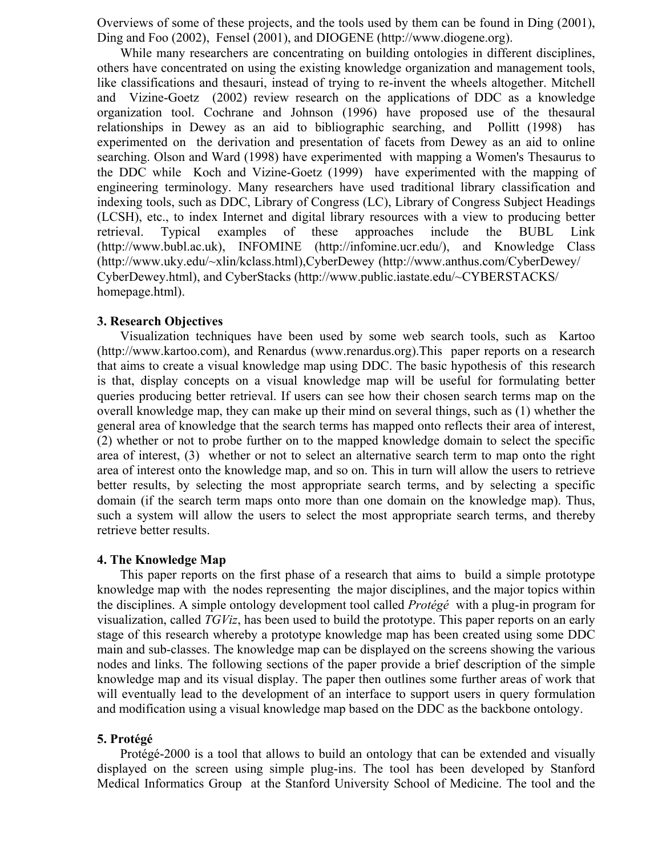Overviews of some of these projects, and the tools used by them can be found in Ding (2001), Ding and Foo (2002), Fensel (2001), and DIOGENE (http://www.diogene.org).

While many researchers are concentrating on building ontologies in different disciplines, others have concentrated on using the existing knowledge organization and management tools, like classifications and thesauri, instead of trying to re-invent the wheels altogether. Mitchell and Vizine-Goetz (2002) review research on the applications of DDC as a knowledge organization tool. Cochrane and Johnson (1996) have proposed use of the thesaural relationships in Dewey as an aid to bibliographic searching, and Pollitt (1998) has experimented on the derivation and presentation of facets from Dewey as an aid to online searching. Olson and Ward (1998) have experimented with mapping a Women's Thesaurus to the DDC while Koch and Vizine-Goetz (1999) have experimented with the mapping of engineering terminology. Many researchers have used traditional library classification and indexing tools, such as DDC, Library of Congress (LC), Library of Congress Subject Headings (LCSH), etc., to index Internet and digital library resources with a view to producing better retrieval. Typical examples of these approaches include the BUBL Link (http://www.bubl.ac.uk), INFOMINE (http://infomine.ucr.edu/), and Knowledge Class (http://www.uky.edu/~xlin/kclass.html),CyberDewey (http://www.anthus.com/CyberDewey/ CyberDewey.html), and CyberStacks (http://www.public.iastate.edu/~CYBERSTACKS/ homepage.html).

### **3. Research Objectives**

Visualization techniques have been used by some web search tools, such as Kartoo (http://www.kartoo.com), and Renardus (www.renardus.org).This paper reports on a research that aims to create a visual knowledge map using DDC. The basic hypothesis of this research is that, display concepts on a visual knowledge map will be useful for formulating better queries producing better retrieval. If users can see how their chosen search terms map on the overall knowledge map, they can make up their mind on several things, such as (1) whether the general area of knowledge that the search terms has mapped onto reflects their area of interest, (2) whether or not to probe further on to the mapped knowledge domain to select the specific area of interest, (3) whether or not to select an alternative search term to map onto the right area of interest onto the knowledge map, and so on. This in turn will allow the users to retrieve better results, by selecting the most appropriate search terms, and by selecting a specific domain (if the search term maps onto more than one domain on the knowledge map). Thus, such a system will allow the users to select the most appropriate search terms, and thereby retrieve better results.

#### **4. The Knowledge Map**

This paper reports on the first phase of a research that aims to build a simple prototype knowledge map with the nodes representing the major disciplines, and the major topics within the disciplines. A simple ontology development tool called *Protégé* with a plug-in program for visualization, called *TGViz*, has been used to build the prototype. This paper reports on an early stage of this research whereby a prototype knowledge map has been created using some DDC main and sub-classes. The knowledge map can be displayed on the screens showing the various nodes and links. The following sections of the paper provide a brief description of the simple knowledge map and its visual display. The paper then outlines some further areas of work that will eventually lead to the development of an interface to support users in query formulation and modification using a visual knowledge map based on the DDC as the backbone ontology.

#### **5. Protégé**

Protégé-2000 is a tool that allows to build an ontology that can be extended and visually displayed on the screen using simple plug-ins. The tool has been developed by Stanford Medical Informatics Group at the Stanford University School of Medicine. The tool and the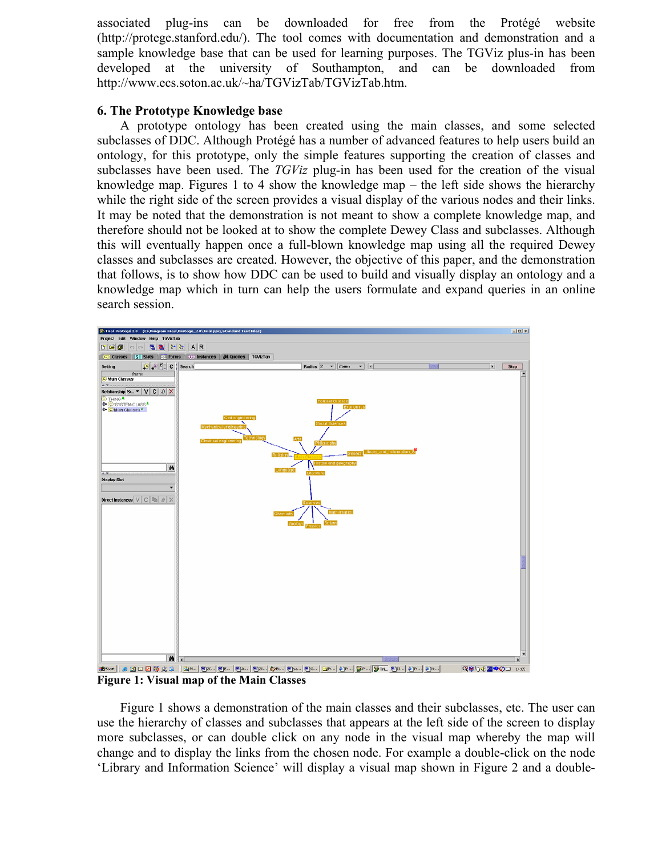associated plug-ins can be downloaded for free from the Protégé website (http://protege.stanford.edu/). The tool comes with documentation and demonstration and a sample knowledge base that can be used for learning purposes. The TGViz plus-in has been developed at the university of Southampton, and can be downloaded from http://www.ecs.soton.ac.uk/~ha/TGVizTab/TGVizTab.htm.

## **6. The Prototype Knowledge base**

A prototype ontology has been created using the main classes, and some selected subclasses of DDC. Although Protégé has a number of advanced features to help users build an ontology, for this prototype, only the simple features supporting the creation of classes and subclasses have been used. The *TGViz* plug-in has been used for the creation of the visual knowledge map. Figures 1 to 4 show the knowledge map – the left side shows the hierarchy while the right side of the screen provides a visual display of the various nodes and their links. It may be noted that the demonstration is not meant to show a complete knowledge map, and therefore should not be looked at to show the complete Dewey Class and subclasses. Although this will eventually happen once a full-blown knowledge map using all the required Dewey classes and subclasses are created. However, the objective of this paper, and the demonstration that follows, is to show how DDC can be used to build and visually display an ontology and a knowledge map which in turn can help the users formulate and expand queries in an online search session.



**Figure 1: Visual map of the Main Classes** 

Figure 1 shows a demonstration of the main classes and their subclasses, etc. The user can use the hierarchy of classes and subclasses that appears at the left side of the screen to display more subclasses, or can double click on any node in the visual map whereby the map will change and to display the links from the chosen node. For example a double-click on the node 'Library and Information Science' will display a visual map shown in Figure 2 and a double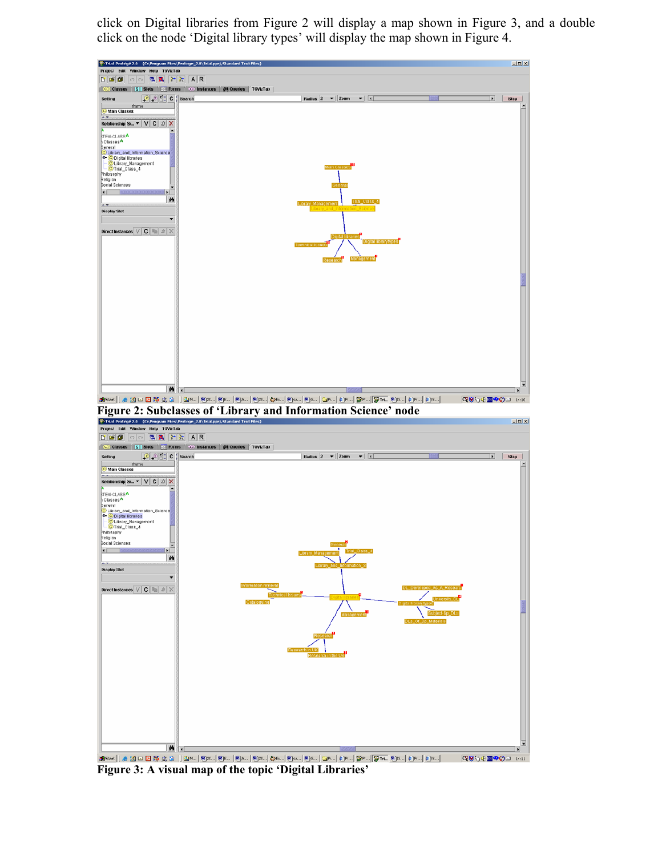click on Digital libraries from Figure 2 will display a map shown in Figure 3, and a double click on the node 'Digital library types' will display the map shown in Figure 4.



<mark>இல்ல</mark>ா||அம்பெ பு நே ஜ் ஓ || <mark>இல.| இல.| இல.| இல.| இல.| இல.| இல.| இல.|</mark> இல.| இல.| <mark>இல.| இல.| இல.| இல.|</mark> இல.| **39000 100 Figure 3: A visual map of the topic 'Digital Libraries'**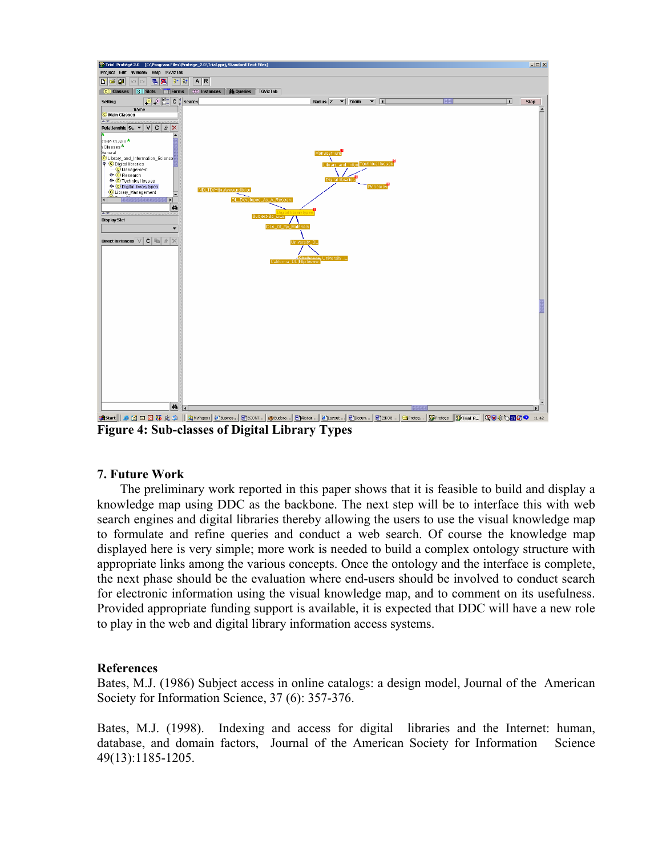

**Figure 4: Sub-classes of Digital Library Types** 

## **7. Future Work**

The preliminary work reported in this paper shows that it is feasible to build and display a knowledge map using DDC as the backbone. The next step will be to interface this with web search engines and digital libraries thereby allowing the users to use the visual knowledge map to formulate and refine queries and conduct a web search. Of course the knowledge map displayed here is very simple; more work is needed to build a complex ontology structure with appropriate links among the various concepts. Once the ontology and the interface is complete, the next phase should be the evaluation where end-users should be involved to conduct search for electronic information using the visual knowledge map, and to comment on its usefulness. Provided appropriate funding support is available, it is expected that DDC will have a new role to play in the web and digital library information access systems.

## **References**

Bates, M.J. (1986) Subject access in online catalogs: a design model, Journal of the American Society for Information Science, 37 (6): 357-376.

Bates, M.J. (1998). Indexing and access for digital libraries and the Internet: human, database, and domain factors, Journal of the American Society for Information Science 49(13):1185-1205.